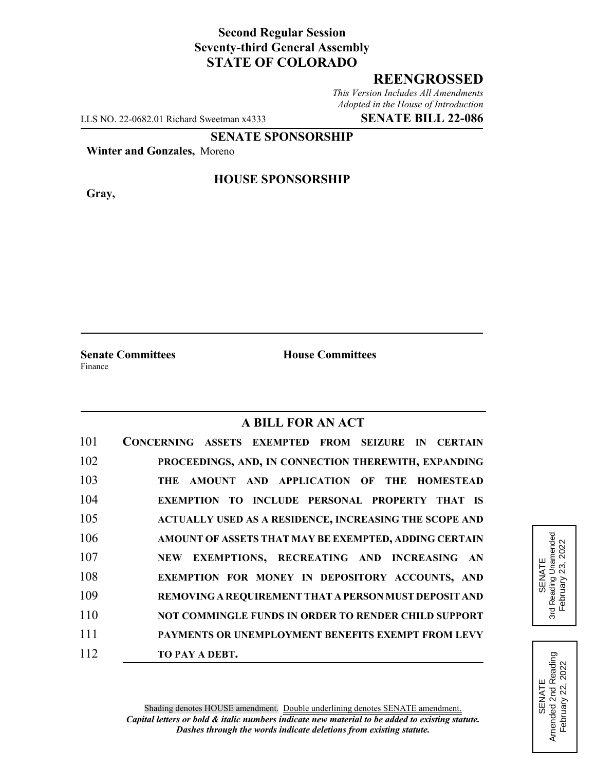# **Second Regular Session Seventy-third General Assembly STATE OF COLORADO**

## **REENGROSSED**

*This Version Includes All Amendments Adopted in the House of Introduction*

LLS NO. 22-0682.01 Richard Sweetman x4333 **SENATE BILL 22-086**

# **SENATE SPONSORSHIP**

**Winter and Gonzales,** Moreno

**Gray,**

#### **HOUSE SPONSORSHIP**

**Senate Committees House Committees** Finance

### **A BILL FOR AN ACT**

| 101 | CONCERNING ASSETS EXEMPTED FROM SEIZURE IN CERTAIN          |
|-----|-------------------------------------------------------------|
| 102 | PROCEEDINGS, AND, IN CONNECTION THEREWITH, EXPANDING        |
| 103 | THE AMOUNT AND APPLICATION OF THE HOMESTEAD                 |
| 104 | <b>EXEMPTION TO INCLUDE PERSONAL PROPERTY THAT IS</b>       |
| 105 | ACTUALLY USED AS A RESIDENCE, INCREASING THE SCOPE AND      |
| 106 | AMOUNT OF ASSETS THAT MAY BE EXEMPTED, ADDING CERTAIN       |
| 107 | NEW EXEMPTIONS, RECREATING AND INCREASING AN                |
| 108 | EXEMPTION FOR MONEY IN DEPOSITORY ACCOUNTS, AND             |
| 109 | REMOVING A REQUIREMENT THAT A PERSON MUST DEPOSIT AND       |
| 110 | <b>NOT COMMINGLE FUNDS IN ORDER TO RENDER CHILD SUPPORT</b> |
| 111 | PAYMENTS OR UNEMPLOYMENT BENEFITS EXEMPT FROM LEVY          |
| 112 | TO PAY A DEBT.                                              |

SENATE<br>3rd Reading Unamended 3rd Reading Unamended February 23, 2022 February 23, 2022

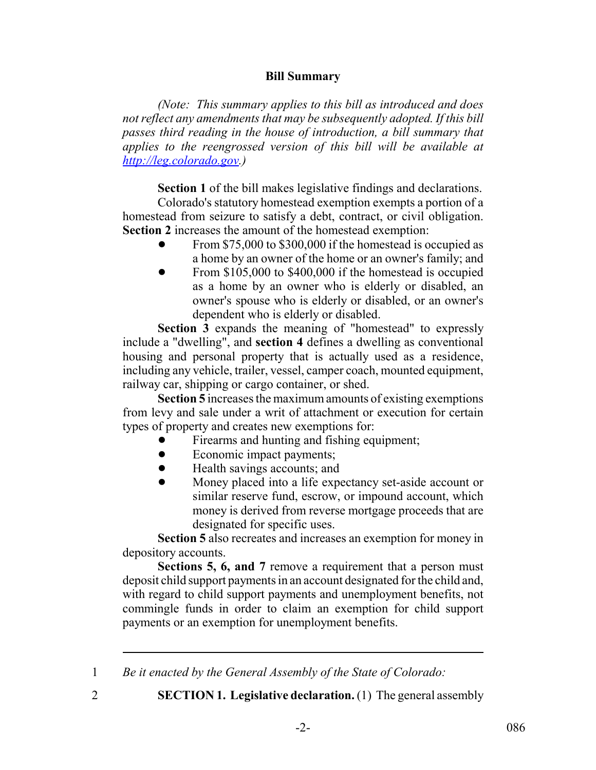### **Bill Summary**

*(Note: This summary applies to this bill as introduced and does not reflect any amendments that may be subsequently adopted. If this bill passes third reading in the house of introduction, a bill summary that applies to the reengrossed version of this bill will be available at http://leg.colorado.gov.)*

**Section 1** of the bill makes legislative findings and declarations.

Colorado's statutory homestead exemption exempts a portion of a homestead from seizure to satisfy a debt, contract, or civil obligation. **Section 2** increases the amount of the homestead exemption:

- From \$75,000 to \$300,000 if the homestead is occupied as a home by an owner of the home or an owner's family; and
- From \$105,000 to \$400,000 if the homestead is occupied as a home by an owner who is elderly or disabled, an owner's spouse who is elderly or disabled, or an owner's dependent who is elderly or disabled.

**Section 3** expands the meaning of "homestead" to expressly include a "dwelling", and **section 4** defines a dwelling as conventional housing and personal property that is actually used as a residence, including any vehicle, trailer, vessel, camper coach, mounted equipment, railway car, shipping or cargo container, or shed.

**Section 5** increases the maximum amounts of existing exemptions from levy and sale under a writ of attachment or execution for certain types of property and creates new exemptions for:

- ! Firearms and hunting and fishing equipment;
- Economic impact payments;
- Health savings accounts; and
- ! Money placed into a life expectancy set-aside account or similar reserve fund, escrow, or impound account, which money is derived from reverse mortgage proceeds that are designated for specific uses.

**Section 5** also recreates and increases an exemption for money in depository accounts.

**Sections 5, 6, and 7** remove a requirement that a person must deposit child support payments in an account designated for the child and, with regard to child support payments and unemployment benefits, not commingle funds in order to claim an exemption for child support payments or an exemption for unemployment benefits.

1 *Be it enacted by the General Assembly of the State of Colorado:*

- 
- 2 **SECTION 1. Legislative declaration.** (1) The general assembly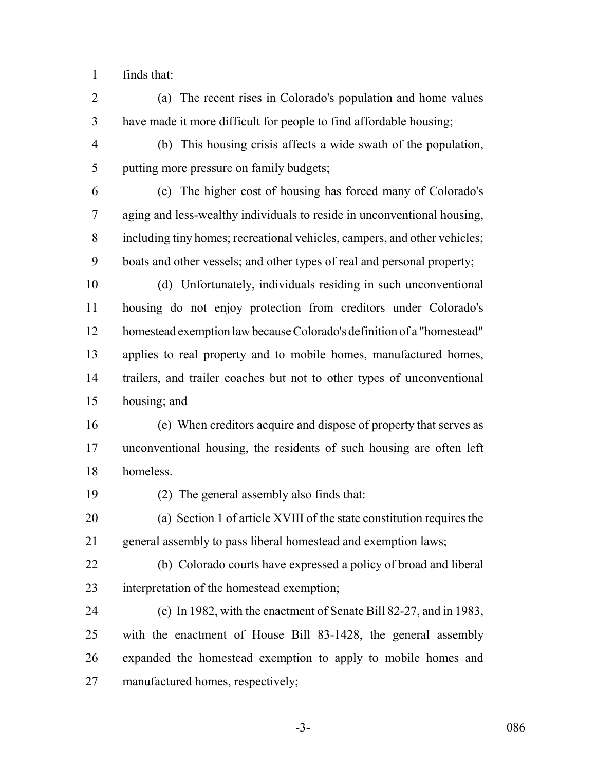finds that:

- (a) The recent rises in Colorado's population and home values have made it more difficult for people to find affordable housing;
- (b) This housing crisis affects a wide swath of the population, putting more pressure on family budgets;
- (c) The higher cost of housing has forced many of Colorado's aging and less-wealthy individuals to reside in unconventional housing, including tiny homes; recreational vehicles, campers, and other vehicles; boats and other vessels; and other types of real and personal property;
- (d) Unfortunately, individuals residing in such unconventional housing do not enjoy protection from creditors under Colorado's homestead exemption law because Colorado's definition of a "homestead" applies to real property and to mobile homes, manufactured homes, trailers, and trailer coaches but not to other types of unconventional housing; and
- (e) When creditors acquire and dispose of property that serves as unconventional housing, the residents of such housing are often left homeless.
- 

(2) The general assembly also finds that:

 (a) Section 1 of article XVIII of the state constitution requires the general assembly to pass liberal homestead and exemption laws;

- (b) Colorado courts have expressed a policy of broad and liberal interpretation of the homestead exemption;
- (c) In 1982, with the enactment of Senate Bill 82-27, and in 1983, with the enactment of House Bill 83-1428, the general assembly expanded the homestead exemption to apply to mobile homes and manufactured homes, respectively;
	-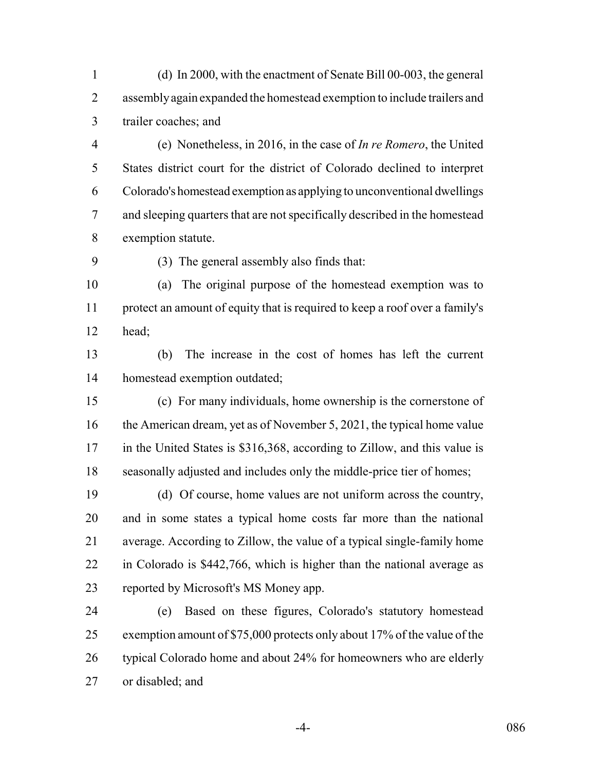(d) In 2000, with the enactment of Senate Bill 00-003, the general assembly again expanded the homestead exemption to include trailers and trailer coaches; and

 (e) Nonetheless, in 2016, in the case of *In re Romero*, the United States district court for the district of Colorado declined to interpret Colorado's homestead exemption as applying to unconventional dwellings and sleeping quarters that are not specifically described in the homestead exemption statute.

(3) The general assembly also finds that:

 (a) The original purpose of the homestead exemption was to protect an amount of equity that is required to keep a roof over a family's head;

 (b) The increase in the cost of homes has left the current homestead exemption outdated;

 (c) For many individuals, home ownership is the cornerstone of 16 the American dream, yet as of November 5, 2021, the typical home value in the United States is \$316,368, according to Zillow, and this value is seasonally adjusted and includes only the middle-price tier of homes;

 (d) Of course, home values are not uniform across the country, and in some states a typical home costs far more than the national average. According to Zillow, the value of a typical single-family home in Colorado is \$442,766, which is higher than the national average as reported by Microsoft's MS Money app.

 (e) Based on these figures, Colorado's statutory homestead exemption amount of \$75,000 protects only about 17% of the value of the typical Colorado home and about 24% for homeowners who are elderly or disabled; and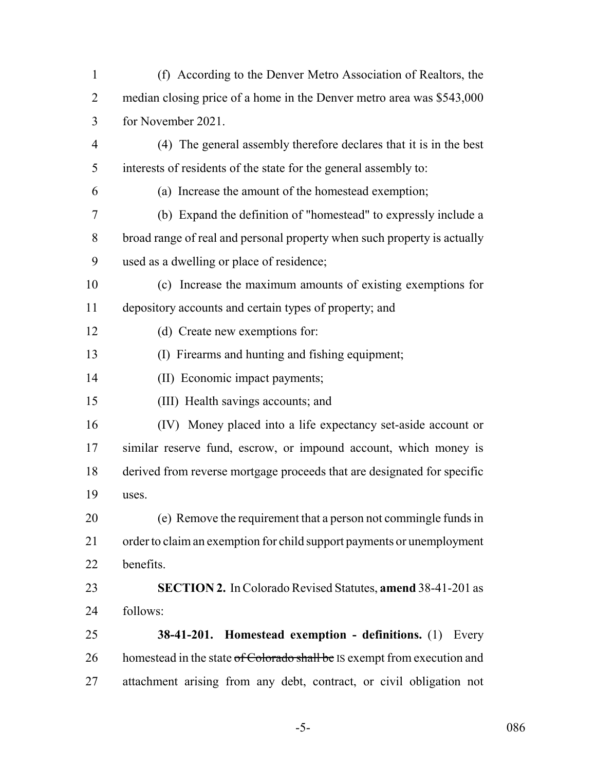(f) According to the Denver Metro Association of Realtors, the median closing price of a home in the Denver metro area was \$543,000 for November 2021. (4) The general assembly therefore declares that it is in the best interests of residents of the state for the general assembly to: (a) Increase the amount of the homestead exemption; (b) Expand the definition of "homestead" to expressly include a broad range of real and personal property when such property is actually used as a dwelling or place of residence; (c) Increase the maximum amounts of existing exemptions for depository accounts and certain types of property; and (d) Create new exemptions for: (I) Firearms and hunting and fishing equipment; (II) Economic impact payments; (III) Health savings accounts; and (IV) Money placed into a life expectancy set-aside account or similar reserve fund, escrow, or impound account, which money is derived from reverse mortgage proceeds that are designated for specific uses. (e) Remove the requirement that a person not commingle funds in order to claim an exemption for child support payments or unemployment benefits. **SECTION 2.** In Colorado Revised Statutes, **amend** 38-41-201 as follows: **38-41-201. Homestead exemption - definitions.** (1) Every 26 homestead in the state of Colorado shall be IS exempt from execution and attachment arising from any debt, contract, or civil obligation not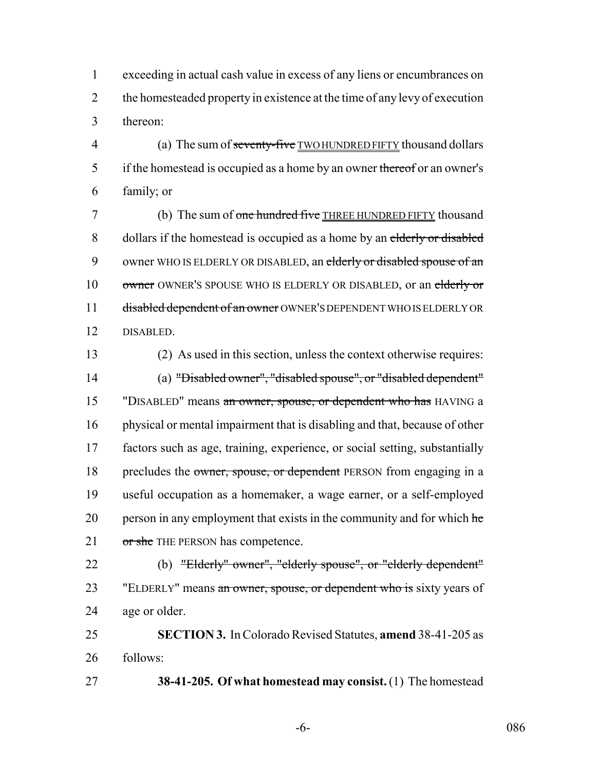1 exceeding in actual cash value in excess of any liens or encumbrances on 2 the homesteaded property in existence at the time of any levy of execution 3 thereon:

4 (a) The sum of seventy-five TWO HUNDRED FIFTY thousand dollars 5 if the homestead is occupied as a home by an owner thereof or an owner's 6 family; or

7 (b) The sum of one hundred five THREE HUNDRED FIFTY thousand 8 dollars if the homestead is occupied as a home by an elderly or disabled 9 owner WHO IS ELDERLY OR DISABLED, an elderly or disabled spouse of an 10 owner OWNER'S SPOUSE WHO IS ELDERLY OR DISABLED, or an elderly or 11 disabled dependent of an owner OWNER'S DEPENDENT WHO IS ELDERLY OR 12 DISABLED.

13 (2) As used in this section, unless the context otherwise requires: 14 (a) "Disabled owner", "disabled spouse", or "disabled dependent" 15 "DISABLED" means an owner, spouse, or dependent who has HAVING a 16 physical or mental impairment that is disabling and that, because of other 17 factors such as age, training, experience, or social setting, substantially 18 precludes the owner, spouse, or dependent PERSON from engaging in a 19 useful occupation as a homemaker, a wage earner, or a self-employed 20 person in any employment that exists in the community and for which  $he$ 21 or she THE PERSON has competence.

22 (b) "Elderly" owner", "elderly spouse", or "elderly dependent" 23 "ELDERLY" means an owner, spouse, or dependent who is sixty years of 24 age or older.

25 **SECTION 3.** In Colorado Revised Statutes, **amend** 38-41-205 as 26 follows:

27 **38-41-205. Of what homestead may consist.** (1) The homestead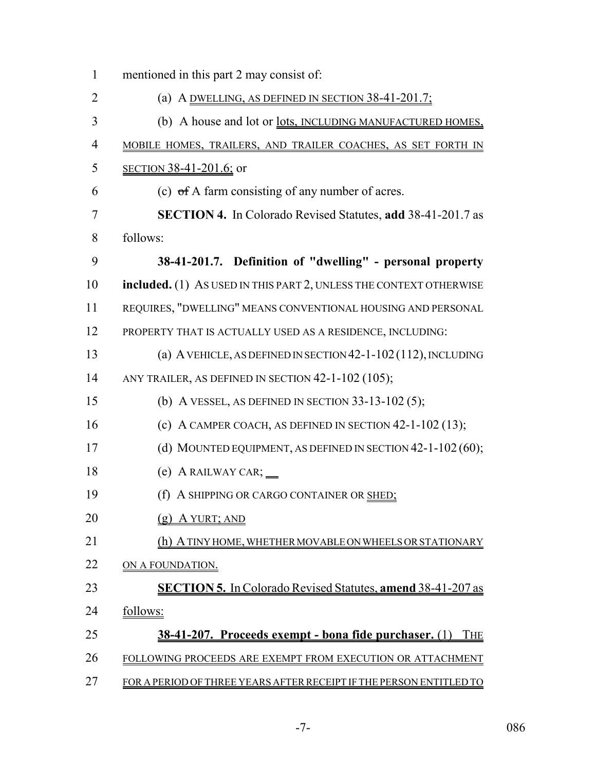| mentioned in this part 2 may consist of:                                   |
|----------------------------------------------------------------------------|
| (a) A DWELLING, AS DEFINED IN SECTION $38-41-201.7$ ;                      |
| (b) A house and lot or <u>lots, INCLUDING MANUFACTURED HOMES</u> ,         |
| MOBILE HOMES, TRAILERS, AND TRAILER COACHES, AS SET FORTH IN               |
| <u>SECTION 38-41-201.6;</u> or                                             |
| (c) $\sigma$ f A farm consisting of any number of acres.                   |
| SECTION 4. In Colorado Revised Statutes, add 38-41-201.7 as                |
| follows:                                                                   |
| 38-41-201.7. Definition of "dwelling" - personal property                  |
| included. (1) As USED IN THIS PART 2, UNLESS THE CONTEXT OTHERWISE         |
| REQUIRES, "DWELLING" MEANS CONVENTIONAL HOUSING AND PERSONAL               |
| PROPERTY THAT IS ACTUALLY USED AS A RESIDENCE, INCLUDING:                  |
| (a) A VEHICLE, AS DEFINED IN SECTION $42-1-102(112)$ , INCLUDING           |
| ANY TRAILER, AS DEFINED IN SECTION $42-1-102(105)$ ;                       |
| (b) A VESSEL, AS DEFINED IN SECTION $33-13-102(5)$ ;                       |
| (c) A CAMPER COACH, AS DEFINED IN SECTION $42-1-102(13)$ ;                 |
| (d) MOUNTED EQUIPMENT, AS DEFINED IN SECTION $42-1-102(60)$ ;              |
| $(e)$ A RAILWAY CAR; $\_\_$                                                |
| (f) A SHIPPING OR CARGO CONTAINER OR SHED;                                 |
| $(g)$ A YURT; AND                                                          |
| (h) A TINY HOME, WHETHER MOVABLE ON WHEELS OR STATIONARY                   |
| ON A FOUNDATION.                                                           |
| <b>SECTION 5.</b> In Colorado Revised Statutes, amend 38-41-207 as         |
| follows:                                                                   |
| <u>38-41-207. Proceeds exempt - bona fide purchaser. (1)</u><br><b>THE</b> |
| FOLLOWING PROCEEDS ARE EXEMPT FROM EXECUTION OR ATTACHMENT                 |
| FOR A PERIOD OF THREE YEARS AFTER RECEIPT IF THE PERSON ENTITLED TO        |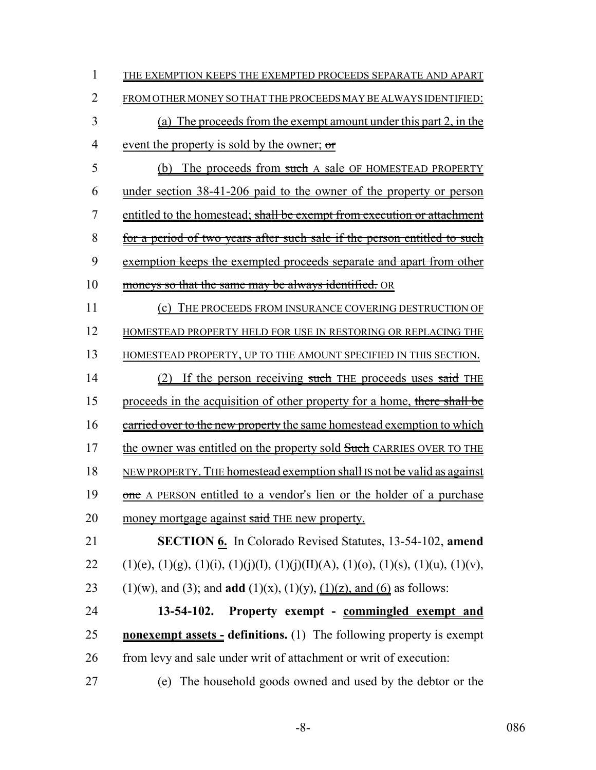| 1  | THE EXEMPTION KEEPS THE EXEMPTED PROCEEDS SEPARATE AND APART                            |
|----|-----------------------------------------------------------------------------------------|
| 2  | FROM OTHER MONEY SO THAT THE PROCEEDS MAY BE ALWAYS IDENTIFIED:                         |
| 3  | (a) The proceeds from the exempt amount under this part 2, in the                       |
| 4  | event the property is sold by the owner; or                                             |
| 5  | (b) The proceeds from such A sale OF HOMESTEAD PROPERTY                                 |
| 6  | under section 38-41-206 paid to the owner of the property or person                     |
| 7  | entitled to the homestead; shall be exempt from execution or attachment                 |
| 8  | for a period of two years after such sale if the person entitled to such                |
| 9  | exemption keeps the exempted proceeds separate and apart from other                     |
| 10 | moneys so that the same may be always identified. OR                                    |
| 11 | (c) THE PROCEEDS FROM INSURANCE COVERING DESTRUCTION OF                                 |
| 12 | HOMESTEAD PROPERTY HELD FOR USE IN RESTORING OR REPLACING THE                           |
| 13 | HOMESTEAD PROPERTY, UP TO THE AMOUNT SPECIFIED IN THIS SECTION.                         |
| 14 | <u>(2) If the person receiving such THE proceeds uses said THE</u>                      |
| 15 | proceeds in the acquisition of other property for a home, there shall be                |
| 16 | carried over to the new property the same homestead exemption to which                  |
| 17 | the owner was entitled on the property sold Such CARRIES OVER TO THE                    |
| 18 | NEW PROPERTY. THE homestead exemption shall IS not be valid as against                  |
| 19 | one A PERSON entitled to a vendor's lien or the holder of a purchase                    |
| 20 | money mortgage against said THE new property.                                           |
| 21 | SECTION 6. In Colorado Revised Statutes, 13-54-102, amend                               |
| 22 | $(1)(e), (1)(g), (1)(i), (1)(j)(I), (1)(j)(II)(A), (1)(o), (1)(s), (1)(u), (1)(v),$     |
| 23 | $(1)(w)$ , and (3); and <b>add</b> $(1)(x)$ , $(1)(y)$ , $(1)(z)$ , and (6) as follows: |
| 24 | $13 - 54 - 102$ .<br>Property exempt - commingled exempt and                            |
| 25 | <b>nonexempt assets - definitions.</b> (1) The following property is exempt             |
| 26 | from levy and sale under writ of attachment or writ of execution:                       |
| 27 | The household goods owned and used by the debtor or the<br>(e)                          |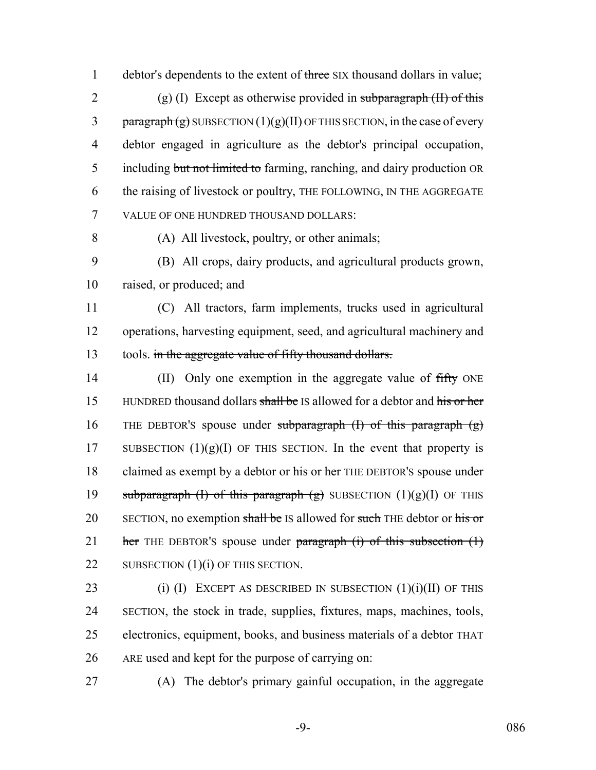1 debtor's dependents to the extent of three SIX thousand dollars in value; 2 (g) (I) Except as otherwise provided in subparagraph  $(H)$  of this 3 paragraph  $(g)$  SUBSECTION  $(1)(g)(II)$  OF THIS SECTION, in the case of every 4 debtor engaged in agriculture as the debtor's principal occupation, 5 including but not limited to farming, ranching, and dairy production OR 6 the raising of livestock or poultry, THE FOLLOWING, IN THE AGGREGATE 7 VALUE OF ONE HUNDRED THOUSAND DOLLARS:

8 (A) All livestock, poultry, or other animals;

9 (B) All crops, dairy products, and agricultural products grown, 10 raised, or produced; and

11 (C) All tractors, farm implements, trucks used in agricultural 12 operations, harvesting equipment, seed, and agricultural machinery and 13 tools. in the aggregate value of fifty thousand dollars.

14 (II) Only one exemption in the aggregate value of fifty ONE 15 HUNDRED thousand dollars shall be IS allowed for a debtor and his or her 16 THE DEBTOR's spouse under subparagraph  $(I)$  of this paragraph  $(g)$ 17 SUBSECTION  $(1)(g)(I)$  OF THIS SECTION. In the event that property is 18 claimed as exempt by a debtor or his or her THE DEBTOR'S spouse under 19 subparagraph (I) of this paragraph  $(g)$  SUBSECTION  $(1)(g)(I)$  OF THIS 20 SECTION, no exemption shall be IS allowed for such THE debtor or his or 21 her THE DEBTOR's spouse under paragraph  $(i)$  of this subsection  $(1)$ 22 SUBSECTION (1)(i) OF THIS SECTION.

23 (i) (I) EXCEPT AS DESCRIBED IN SUBSECTION  $(1)(i)(II)$  OF THIS SECTION, the stock in trade, supplies, fixtures, maps, machines, tools, electronics, equipment, books, and business materials of a debtor THAT ARE used and kept for the purpose of carrying on:

27 (A) The debtor's primary gainful occupation, in the aggregate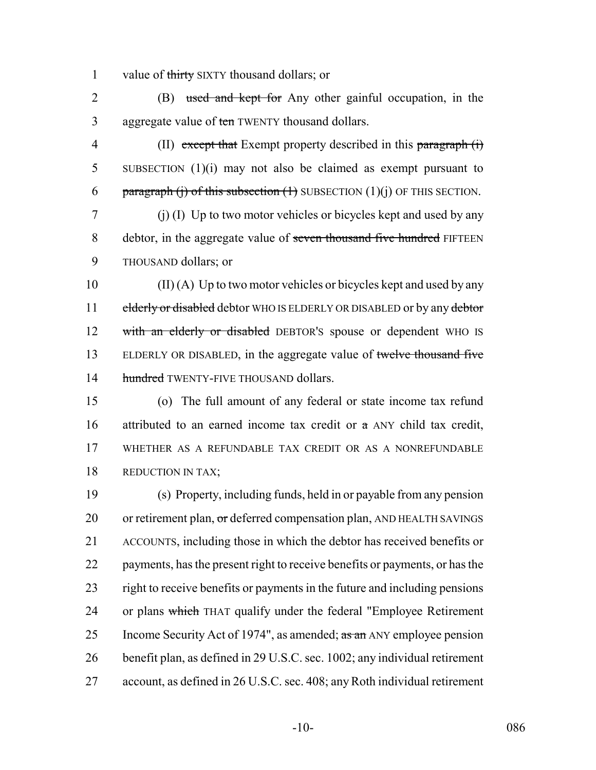1 value of thirty SIXTY thousand dollars; or

2 (B) used and kept for Any other gainful occupation, in the 3 aggregate value of ten TWENTY thousand dollars.

4 (II) except that Exempt property described in this paragraph (i) 5 SUBSECTION (1)(i) may not also be claimed as exempt pursuant to 6 paragraph (j) of this subsection  $(1)$  SUBSECTION  $(1)(j)$  OF THIS SECTION.

7 (j) (I) Up to two motor vehicles or bicycles kept and used by any 8 debtor, in the aggregate value of seven thousand five hundred FIFTEEN 9 THOUSAND dollars; or

 $10$  (II) (A) Up to two motor vehicles or bicycles kept and used by any 11 elderly or disabled debtor WHO IS ELDERLY OR DISABLED or by any debtor 12 with an elderly or disabled DEBTOR's spouse or dependent WHO IS 13 ELDERLY OR DISABLED, in the aggregate value of twelve thousand five 14 hundred TWENTY-FIVE THOUSAND dollars.

15 (o) The full amount of any federal or state income tax refund 16 attributed to an earned income tax credit or  $\pi$  ANY child tax credit, 17 WHETHER AS A REFUNDABLE TAX CREDIT OR AS A NONREFUNDABLE 18 REDUCTION IN TAX;

19 (s) Property, including funds, held in or payable from any pension 20 or retirement plan, or deferred compensation plan, AND HEALTH SAVINGS 21 ACCOUNTS, including those in which the debtor has received benefits or 22 payments, has the present right to receive benefits or payments, or has the 23 right to receive benefits or payments in the future and including pensions 24 or plans which THAT qualify under the federal "Employee Retirement" 25 Income Security Act of 1974", as amended;  $\frac{a \cdot \text{a}}{a \cdot \text{b}}$  ANY employee pension 26 benefit plan, as defined in 29 U.S.C. sec. 1002; any individual retirement 27 account, as defined in 26 U.S.C. sec. 408; any Roth individual retirement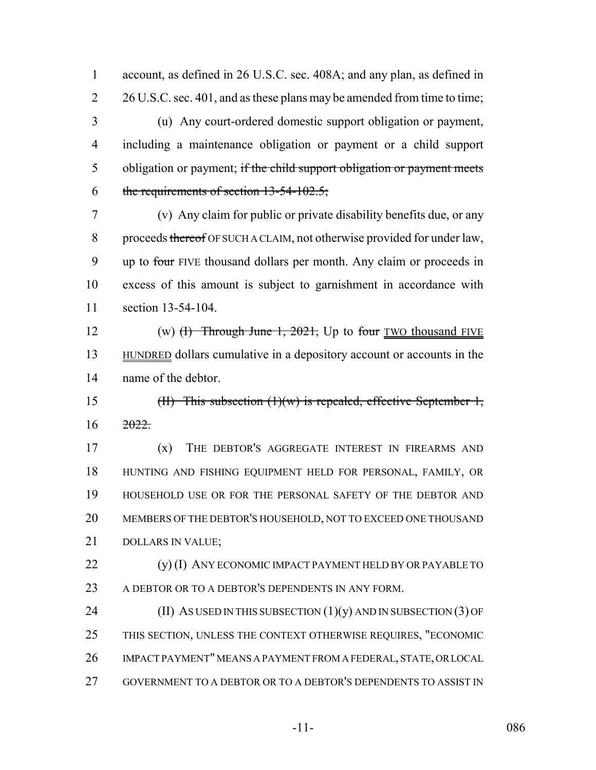account, as defined in 26 U.S.C. sec. 408A; and any plan, as defined in 2 26 U.S.C. sec. 401, and as these plans may be amended from time to time;

 (u) Any court-ordered domestic support obligation or payment, including a maintenance obligation or payment or a child support 5 obligation or payment; if the child support obligation or payment meets 6 the requirements of section  $13-54-102.5$ ;

 (v) Any claim for public or private disability benefits due, or any 8 proceeds thereof OF SUCH A CLAIM, not otherwise provided for under law, 9 up to four FIVE thousand dollars per month. Any claim or proceeds in excess of this amount is subject to garnishment in accordance with section 13-54-104.

12 (w)  $(H)$  Through June 1, 2021, Up to four TWO thousand FIVE HUNDRED dollars cumulative in a depository account or accounts in the name of the debtor.

 (II) This subsection (1)(w) is repealed, effective September 1,  $16 \frac{2022}{20}$ 

 (x) THE DEBTOR'S AGGREGATE INTEREST IN FIREARMS AND HUNTING AND FISHING EQUIPMENT HELD FOR PERSONAL, FAMILY, OR HOUSEHOLD USE OR FOR THE PERSONAL SAFETY OF THE DEBTOR AND MEMBERS OF THE DEBTOR'S HOUSEHOLD, NOT TO EXCEED ONE THOUSAND DOLLARS IN VALUE;

22 (y) (I) ANY ECONOMIC IMPACT PAYMENT HELD BY OR PAYABLE TO 23 A DEBTOR OR TO A DEBTOR'S DEPENDENTS IN ANY FORM.

24 (II) AS USED IN THIS SUBSECTION  $(1)(y)$  AND IN SUBSECTION  $(3)$  OF THIS SECTION, UNLESS THE CONTEXT OTHERWISE REQUIRES, "ECONOMIC IMPACT PAYMENT" MEANS A PAYMENT FROM A FEDERAL, STATE, OR LOCAL GOVERNMENT TO A DEBTOR OR TO A DEBTOR'S DEPENDENTS TO ASSIST IN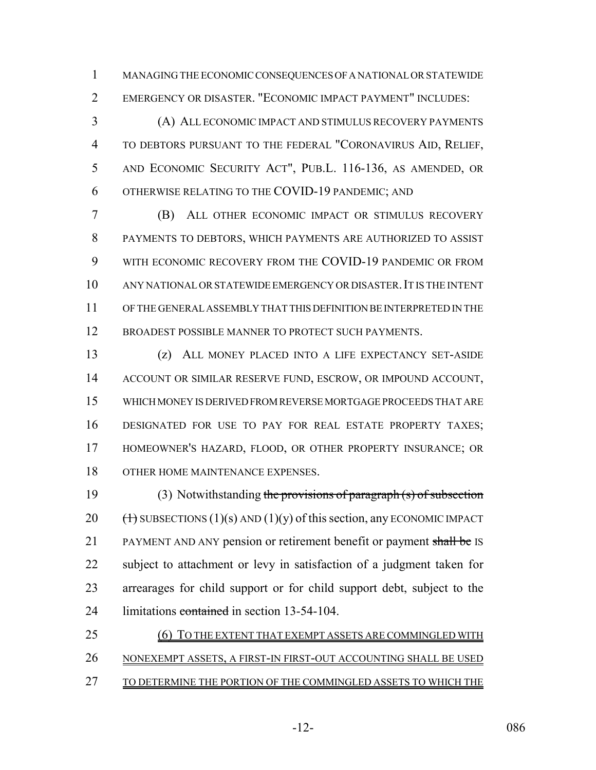MANAGING THE ECONOMIC CONSEQUENCES OF A NATIONAL OR STATEWIDE EMERGENCY OR DISASTER. "ECONOMIC IMPACT PAYMENT" INCLUDES:

 (A) ALL ECONOMIC IMPACT AND STIMULUS RECOVERY PAYMENTS TO DEBTORS PURSUANT TO THE FEDERAL "CORONAVIRUS AID, RELIEF, AND ECONOMIC SECURITY ACT", PUB.L. 116-136, AS AMENDED, OR OTHERWISE RELATING TO THE COVID-19 PANDEMIC; AND

 (B) ALL OTHER ECONOMIC IMPACT OR STIMULUS RECOVERY PAYMENTS TO DEBTORS, WHICH PAYMENTS ARE AUTHORIZED TO ASSIST WITH ECONOMIC RECOVERY FROM THE COVID-19 PANDEMIC OR FROM ANY NATIONAL OR STATEWIDE EMERGENCY OR DISASTER.IT IS THE INTENT OF THE GENERAL ASSEMBLY THAT THIS DEFINITION BE INTERPRETED IN THE 12 BROADEST POSSIBLE MANNER TO PROTECT SUCH PAYMENTS.

 (z) ALL MONEY PLACED INTO A LIFE EXPECTANCY SET-ASIDE ACCOUNT OR SIMILAR RESERVE FUND, ESCROW, OR IMPOUND ACCOUNT, WHICH MONEY IS DERIVED FROM REVERSE MORTGAGE PROCEEDS THAT ARE DESIGNATED FOR USE TO PAY FOR REAL ESTATE PROPERTY TAXES; HOMEOWNER'S HAZARD, FLOOD, OR OTHER PROPERTY INSURANCE; OR 18 OTHER HOME MAINTENANCE EXPENSES.

19 (3) Notwithstanding the provisions of paragraph (s) of subsection 20  $(\text{+)}$  SUBSECTIONS (1)(s) AND (1)(y) of this section, any ECONOMIC IMPACT 21 PAYMENT AND ANY pension or retirement benefit or payment shall be IS subject to attachment or levy in satisfaction of a judgment taken for arrearages for child support or for child support debt, subject to the 24 limitations contained in section 13-54-104.

| 25 | (6) TO THE EXTENT THAT EXEMPT ASSETS ARE COMMINGLED WITH        |
|----|-----------------------------------------------------------------|
| 26 | NONEXEMPT ASSETS, A FIRST-IN FIRST-OUT ACCOUNTING SHALL BE USED |
| 27 | TO DETERMINE THE PORTION OF THE COMMINGLED ASSETS TO WHICH THE  |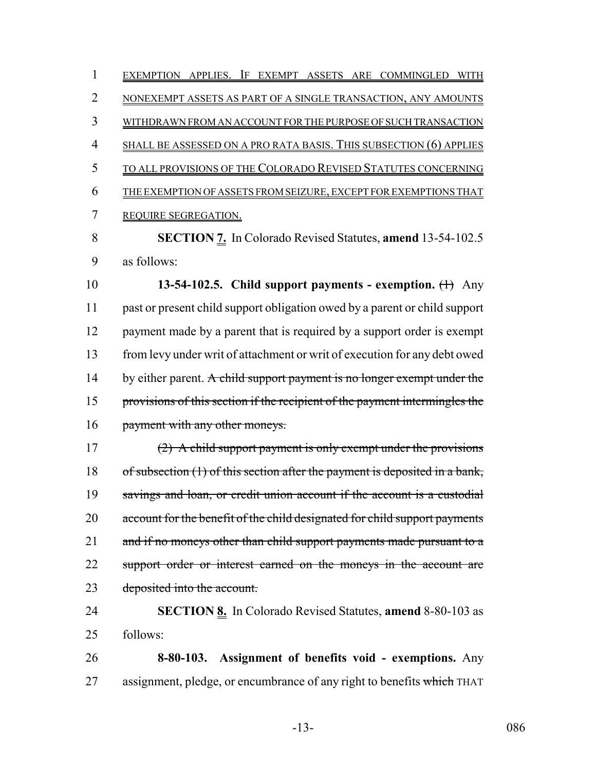EXEMPTION APPLIES. IF EXEMPT ASSETS ARE COMMINGLED WITH NONEXEMPT ASSETS AS PART OF A SINGLE TRANSACTION, ANY AMOUNTS WITHDRAWN FROM AN ACCOUNT FOR THE PURPOSE OF SUCH TRANSACTION SHALL BE ASSESSED ON A PRO RATA BASIS. THIS SUBSECTION (6) APPLIES TO ALL PROVISIONS OF THE COLORADO REVISED STATUTES CONCERNING THE EXEMPTION OF ASSETS FROM SEIZURE, EXCEPT FOR EXEMPTIONS THAT REQUIRE SEGREGATION. **SECTION 7.** In Colorado Revised Statutes, **amend** 13-54-102.5 as follows: **13-54-102.5. Child support payments - exemption.** (1) Any

 past or present child support obligation owed by a parent or child support 12 payment made by a parent that is required by a support order is exempt from levy under writ of attachment or writ of execution for any debt owed 14 by either parent. A child support payment is no longer exempt under the 15 provisions of this section if the recipient of the payment intermingles the 16 payment with any other moneys.

 (2) A child support payment is only exempt under the provisions 18 of subsection (1) of this section after the payment is deposited in a bank, 19 savings and loan, or credit union account if the account is a custodial 20 account for the benefit of the child designated for child support payments 21 and if no moneys other than child support payments made pursuant to a 22 support order or interest earned on the moneys in the account are deposited into the account.

 **SECTION 8.** In Colorado Revised Statutes, **amend** 8-80-103 as follows:

 **8-80-103. Assignment of benefits void - exemptions.** Any 27 assignment, pledge, or encumbrance of any right to benefits which THAT